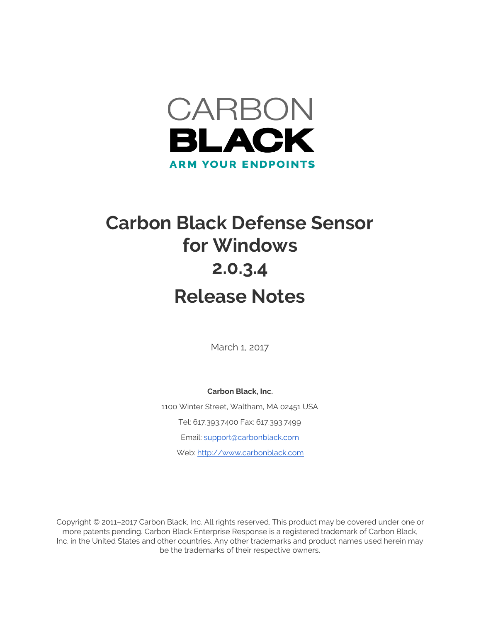

# **Carbon Black Defense Sensor for Windows 2.0.3.4 Release Notes**

March 1, 2017

**Carbon Black, Inc.** 1100 Winter Street, Waltham, MA 02451 USA Tel: 617.393.7400 Fax: 617.393.7499 Email: [support@carbonblack.com](mailto:support@carbonblack.com) Web: [http://www.carbonblack.com](http://www.carbonblack.com/)

Copyright © 2011–2017 Carbon Black, Inc. All rights reserved. This product may be covered under one or more patents pending. Carbon Black Enterprise Response is a registered trademark of Carbon Black, Inc. in the United States and other countries. Any other trademarks and product names used herein may be the trademarks of their respective owners.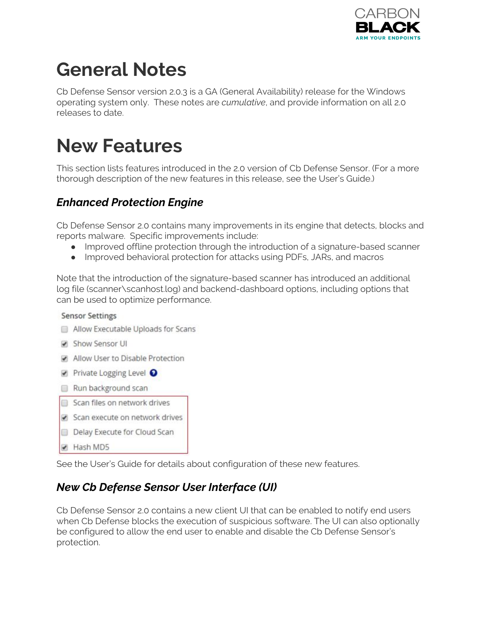

# **General Notes**

Cb Defense Sensor version 2.0.3 is a GA (General Availability) release for the Windows operating system only. These notes are *cumulative*, and provide information on all 2.0 releases to date.

### **New Features**

This section lists features introduced in the 2.0 version of Cb Defense Sensor. (For a more thorough description of the new features in this release, see the User's Guide.)

#### *Enhanced Protection Engine*

Cb Defense Sensor 2.0 contains many improvements in its engine that detects, blocks and reports malware. Specific improvements include:

- Improved offline protection through the introduction of a signature-based scanner
- Improved behavioral protection for attacks using PDFs, JARs, and macros

Note that the introduction of the signature-based scanner has introduced an additional log file (scanner\scanhost.log) and backend-dashboard options, including options that can be used to optimize performance.

#### **Sensor Settings**

- Allow Executable Uploads for Scans
- Show Sensor UI
- Allow User to Disable Protection
- Private Logging Level <sup>O</sup>
- Run background scan
- Scan files on network drives
- Scan execute on network drives
- Delay Execute for Cloud Scan
- Hash MD5

See the User's Guide for details about configuration of these new features.

#### *New Cb Defense Sensor User Interface (UI)*

Cb Defense Sensor 2.0 contains a new client UI that can be enabled to notify end users when Cb Defense blocks the execution of suspicious software. The UI can also optionally be configured to allow the end user to enable and disable the Cb Defense Sensor's protection.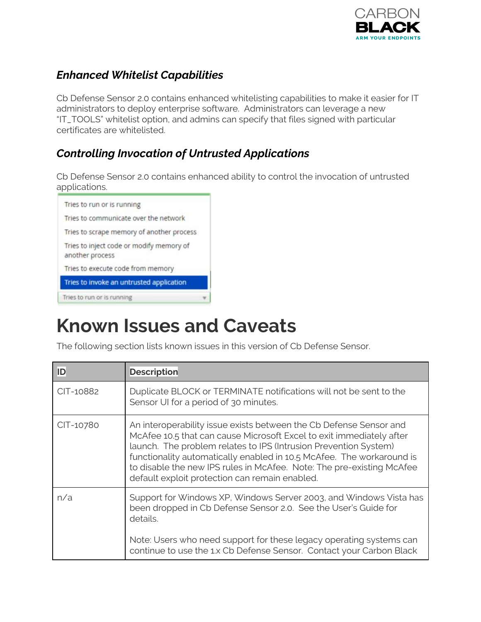

### *Enhanced Whitelist Capabilities*

Cb Defense Sensor 2.0 contains enhanced whitelisting capabilities to make it easier for IT administrators to deploy enterprise software. Administrators can leverage a new "IT\_TOOLS" whitelist option, and admins can specify that files signed with particular certificates are whitelisted.

#### *Controlling Invocation of Untrusted Applications*

Cb Defense Sensor 2.0 contains enhanced ability to control the invocation of untrusted applications.



### **Known Issues and Caveats**

The following section lists known issues in this version of Cb Defense Sensor.

| ID        | <b>Description</b>                                                                                                                                                                                                                                                                                                                                                                                                 |
|-----------|--------------------------------------------------------------------------------------------------------------------------------------------------------------------------------------------------------------------------------------------------------------------------------------------------------------------------------------------------------------------------------------------------------------------|
| CIT-10882 | Duplicate BLOCK or TERMINATE notifications will not be sent to the<br>Sensor UI for a period of 30 minutes.                                                                                                                                                                                                                                                                                                        |
| CIT-10780 | An interoperability issue exists between the Cb Defense Sensor and<br>McAfee 10.5 that can cause Microsoft Excel to exit immediately after<br>launch. The problem relates to IPS (Intrusion Prevention System)<br>functionality automatically enabled in 10.5 McAfee. The workaround is<br>to disable the new IPS rules in McAfee. Note: The pre-existing McAfee<br>default exploit protection can remain enabled. |
| n/a       | Support for Windows XP, Windows Server 2003, and Windows Vista has<br>been dropped in Cb Defense Sensor 2.0. See the User's Guide for<br>details.<br>Note: Users who need support for these legacy operating systems can<br>continue to use the 1.x Cb Defense Sensor. Contact your Carbon Black                                                                                                                   |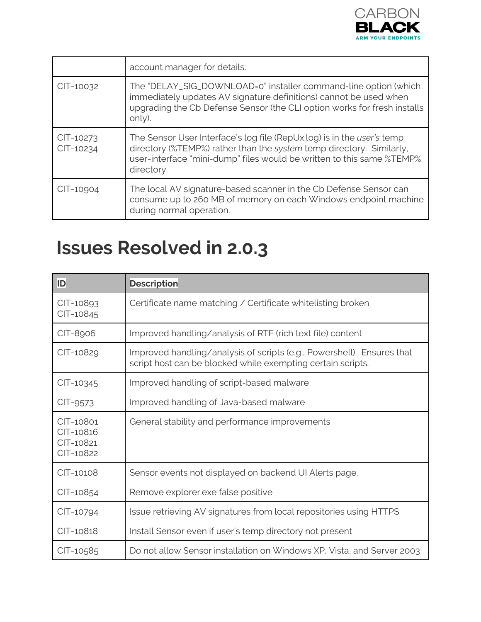

|                        | account manager for details.                                                                                                                                                                                                          |
|------------------------|---------------------------------------------------------------------------------------------------------------------------------------------------------------------------------------------------------------------------------------|
| CIT-10032              | The "DELAY_SIG_DOWNLOAD=0" installer command-line option (which<br>immediately updates AV signature definitions) cannot be used when<br>upgrading the Cb Defense Sensor (the CLI option works for fresh installs<br>only).            |
| CIT-10273<br>CIT-10234 | The Sensor User Interface's log file (RepUx.log) is in the user's temp<br>directory (%TEMP%) rather than the system temp directory. Similarly,<br>user-interface "mini-dump" files would be written to this same %TEMP%<br>directory. |
| CIT-10904              | The local AV signature-based scanner in the Cb Defense Sensor can<br>consume up to 260 MB of memory on each Windows endpoint machine<br>during normal operation.                                                                      |

### **Issues Resolved in 2.0.3**

| ID                                               | <b>Description</b>                                                                                                                    |
|--------------------------------------------------|---------------------------------------------------------------------------------------------------------------------------------------|
| CIT-10893<br>CIT-10845                           | Certificate name matching / Certificate whitelisting broken                                                                           |
| CIT-8906                                         | Improved handling/analysis of RTF (rich text file) content                                                                            |
| CIT-10829                                        | Improved handling/analysis of scripts (e.g., Powershell). Ensures that<br>script host can be blocked while exempting certain scripts. |
| CIT-10345                                        | Improved handling of script-based malware                                                                                             |
| CIT-9573                                         | Improved handling of Java-based malware                                                                                               |
| CIT-10801<br>CIT-10816<br>CIT-10821<br>CIT-10822 | General stability and performance improvements                                                                                        |
| CIT-10108                                        | Sensor events not displayed on backend UI Alerts page.                                                                                |
| CIT-10854                                        | Remove explorer.exe false positive                                                                                                    |
| CIT-10794                                        | Issue retrieving AV signatures from local repositories using HTTPS                                                                    |
| CIT-10818                                        | Install Sensor even if user's temp directory not present                                                                              |
| CIT-10585                                        | Do not allow Sensor installation on Windows XP, Vista, and Server 2003                                                                |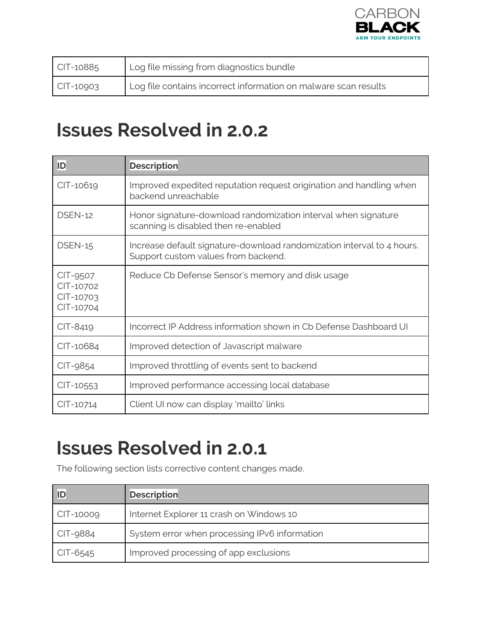

| $CIT-10885$       | Log file missing from diagnostics bundle                        |
|-------------------|-----------------------------------------------------------------|
| $\vert$ CIT-10903 | Log file contains incorrect information on malware scan results |

### **Issues Resolved in 2.0.2**

| ID                                              | <b>Description</b>                                                                                            |
|-------------------------------------------------|---------------------------------------------------------------------------------------------------------------|
| CIT-10619                                       | Improved expedited reputation request origination and handling when<br>backend unreachable                    |
| DSEN-12                                         | Honor signature-download randomization interval when signature<br>scanning is disabled then re-enabled        |
| DSEN-15                                         | Increase default signature-download randomization interval to 4 hours.<br>Support custom values from backend. |
| CIT-9507<br>CIT-10702<br>CIT-10703<br>CIT-10704 | Reduce Cb Defense Sensor's memory and disk usage                                                              |
| CIT-8419                                        | Incorrect IP Address information shown in Cb Defense Dashboard UI                                             |
| CIT-10684                                       | Improved detection of Javascript malware                                                                      |
| CIT-9854                                        | Improved throttling of events sent to backend                                                                 |
| CIT-10553                                       | Improved performance accessing local database                                                                 |
| CIT-10714                                       | Client UI now can display 'mailto' links                                                                      |

## **Issues Resolved in 2.0.1**

The following section lists corrective content changes made.

| ID        | <b>Description</b>                            |
|-----------|-----------------------------------------------|
| CIT-10009 | Internet Explorer 11 crash on Windows 10      |
| CIT-9884  | System error when processing IPv6 information |
| CIT-6545  | Improved processing of app exclusions         |